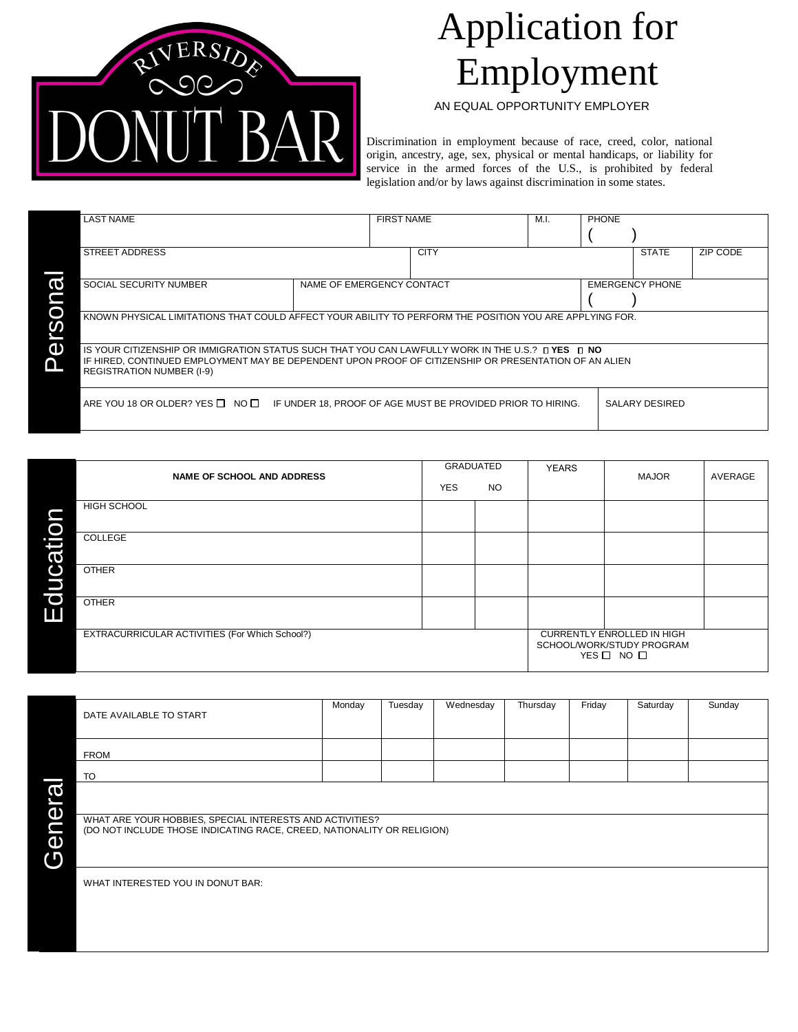

## Application for Employment

AN EQUAL OPPORTUNITY EMPLOYER

Discrimination in employment because of race, creed, color, national origin, ancestry, age, sex, physical or mental handicaps, or liability for service in the armed forces of the U.S., is prohibited by federal legislation and/or by laws against discrimination in some states.

|   | <b>LAST NAME</b>                                                                                                                                                                                                                               |  | <b>FIRST NAME</b> |             | M.I.                   | <b>PHONE</b> |                |          |
|---|------------------------------------------------------------------------------------------------------------------------------------------------------------------------------------------------------------------------------------------------|--|-------------------|-------------|------------------------|--------------|----------------|----------|
|   | STREET ADDRESS                                                                                                                                                                                                                                 |  |                   | <b>CITY</b> |                        |              | <b>STATE</b>   | ZIP CODE |
|   | <b>SOCIAL SECURITY NUMBER</b><br>NAME OF EMERGENCY CONTACT                                                                                                                                                                                     |  |                   |             | <b>EMERGENCY PHONE</b> |              |                |          |
|   | KNOWN PHYSICAL LIMITATIONS THAT COULD AFFECT YOUR ABILITY TO PERFORM THE POSITION YOU ARE APPLYING FOR.                                                                                                                                        |  |                   |             |                        |              |                |          |
| Œ | IS YOUR CITIZENSHIP OR IMMIGRATION STATUS SUCH THAT YOU CAN LAWFULLY WORK IN THE U.S.? LIVES LING<br>IF HIRED, CONTINUED EMPLOYMENT MAY BE DEPENDENT UPON PROOF OF CITIZENSHIP OR PRESENTATION OF AN ALIEN<br><b>REGISTRATION NUMBER (I-9)</b> |  |                   |             |                        |              |                |          |
|   | $ARE$ YOU 18 OR OLDER? YES $\Box$ NO $\Box$ IF UNDER 18, PROOF OF AGE MUST BE PROVIDED PRIOR TO HIRING.                                                                                                                                        |  |                   |             |                        |              | SALARY DESIRED |          |

|                              | <b>NAME OF SCHOOL AND ADDRESS</b>              | GRADUATED<br><b>YES</b> | <b>NO</b> | <b>YEARS</b>                                                                  | <b>MAJOR</b> | AVERAGE |
|------------------------------|------------------------------------------------|-------------------------|-----------|-------------------------------------------------------------------------------|--------------|---------|
| O                            | <b>HIGH SCHOOL</b>                             |                         |           |                                                                               |              |         |
| S                            | COLLEGE                                        |                         |           |                                                                               |              |         |
| O<br>D                       | <b>OTHER</b>                                   |                         |           |                                                                               |              |         |
| $\overline{\mathbf{C}}$<br>Ш | <b>OTHER</b>                                   |                         |           |                                                                               |              |         |
|                              | EXTRACURRICULAR ACTIVITIES (For Which School?) |                         |           | <b>CURRENTLY ENROLLED IN HIGH</b><br>SCHOOL/WORK/STUDY PROGRAM<br>YES ON NO O |              |         |

DATE AVAILABLE TO START Monday Tuesday Wednesday Thursday Friday Saturday Sunday FROM TO WHAT ARE YOUR HOBBIES, SPECIAL INTERESTS AND ACTIVITIES? (DO NOT INCLUDE THOSE INDICATING RACE, CREED, NATIONALITY OR RELIGION) WHAT INTERESTED YOU IN DONUT BAR: **General**